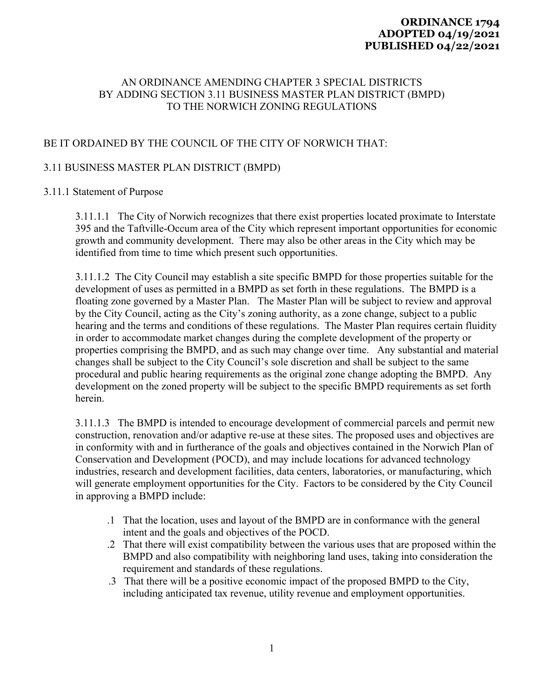## **ORDINANCE 1794 ADOPTED 04/19/2021 PUBLISHED 04/22/2021**

# AN ORDINANCE AMENDING CHAPTER 3 SPECIAL DISTRICTS BY ADDING SECTION 3.11 BUSINESS MASTER PLAN DISTRICT (BMPD) TO THE NORWICH ZONING REGULATIONS

# BE IT ORDAINED BY THE COUNCIL OF THE CITY OF NORWICH THAT:

# 3.11 BUSINESS MASTER PLAN DISTRICT (BMPD)

#### 3.11.1 Statement of Purpose

3.11.1.1 The City of Norwich recognizes that there exist properties located proximate to Interstate 395 and the Taftville-Occum area of the City which represent important opportunities for economic growth and community development. There may also be other areas in the City which may be identified from time to time which present such opportunities.

3.11.1.2 The City Council may establish a site specific BMPD for those properties suitable for the development of uses as permitted in a BMPD as set forth in these regulations. The BMPD is a floating zone governed by a Master Plan. The Master Plan will be subject to review and approval by the City Council, acting as the City's zoning authority, as a zone change, subject to a public hearing and the terms and conditions of these regulations. The Master Plan requires certain fluidity in order to accommodate market changes during the complete development of the property or properties comprising the BMPD, and as such may change over time. Any substantial and material changes shall be subject to the City Council's sole discretion and shall be subject to the same procedural and public hearing requirements as the original zone change adopting the BMPD. Any development on the zoned property will be subject to the specific BMPD requirements as set forth herein.

3.11.1.3 The BMPD is intended to encourage development of commercial parcels and permit new construction, renovation and/or adaptive re-use at these sites. The proposed uses and objectives are in conformity with and in furtherance of the goals and objectives contained in the Norwich Plan of Conservation and Development (POCD), and may include locations for advanced technology industries, research and development facilities, data centers, laboratories, or manufacturing, which will generate employment opportunities for the City. Factors to be considered by the City Council in approving a BMPD include:

- .1 That the location, uses and layout of the BMPD are in conformance with the general intent and the goals and objectives of the POCD.
- .2 That there will exist compatibility between the various uses that are proposed within the BMPD and also compatibility with neighboring land uses, taking into consideration the requirement and standards of these regulations.
- .3 That there will be a positive economic impact of the proposed BMPD to the City, including anticipated tax revenue, utility revenue and employment opportunities.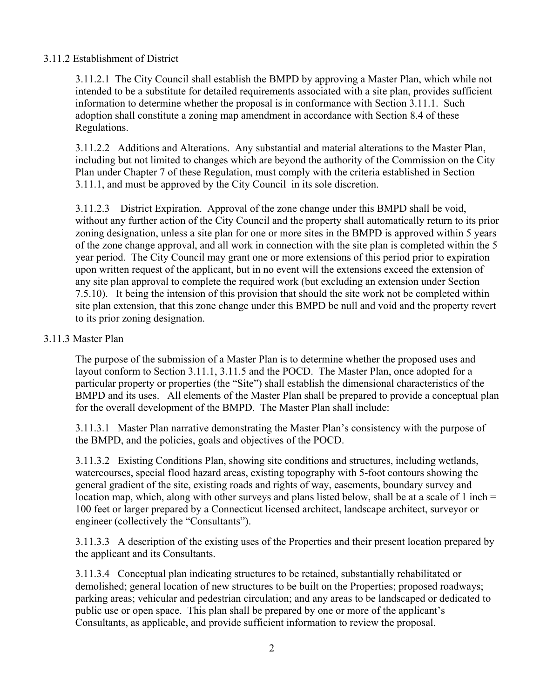## 3.11.2 Establishment of District

3.11.2.1 The City Council shall establish the BMPD by approving a Master Plan, which while not intended to be a substitute for detailed requirements associated with a site plan, provides sufficient information to determine whether the proposal is in conformance with Section 3.11.1. Such adoption shall constitute a zoning map amendment in accordance with Section 8.4 of these Regulations.

3.11.2.2 Additions and Alterations. Any substantial and material alterations to the Master Plan, including but not limited to changes which are beyond the authority of the Commission on the City Plan under Chapter 7 of these Regulation, must comply with the criteria established in Section 3.11.1, and must be approved by the City Council in its sole discretion.

3.11.2.3 District Expiration. Approval of the zone change under this BMPD shall be void, without any further action of the City Council and the property shall automatically return to its prior zoning designation, unless a site plan for one or more sites in the BMPD is approved within 5 years of the zone change approval, and all work in connection with the site plan is completed within the 5 year period. The City Council may grant one or more extensions of this period prior to expiration upon written request of the applicant, but in no event will the extensions exceed the extension of any site plan approval to complete the required work (but excluding an extension under Section 7.5.10). It being the intension of this provision that should the site work not be completed within site plan extension, that this zone change under this BMPD be null and void and the property revert to its prior zoning designation.

#### 3.11.3 Master Plan

The purpose of the submission of a Master Plan is to determine whether the proposed uses and layout conform to Section 3.11.1, 3.11.5 and the POCD. The Master Plan, once adopted for a particular property or properties (the "Site") shall establish the dimensional characteristics of the BMPD and its uses. All elements of the Master Plan shall be prepared to provide a conceptual plan for the overall development of the BMPD. The Master Plan shall include:

3.11.3.1 Master Plan narrative demonstrating the Master Plan's consistency with the purpose of the BMPD, and the policies, goals and objectives of the POCD.

3.11.3.2 Existing Conditions Plan, showing site conditions and structures, including wetlands, watercourses, special flood hazard areas, existing topography with 5-foot contours showing the general gradient of the site, existing roads and rights of way, easements, boundary survey and location map, which, along with other surveys and plans listed below, shall be at a scale of 1 inch  $=$ 100 feet or larger prepared by a Connecticut licensed architect, landscape architect, surveyor or engineer (collectively the "Consultants").

3.11.3.3 A description of the existing uses of the Properties and their present location prepared by the applicant and its Consultants.

3.11.3.4 Conceptual plan indicating structures to be retained, substantially rehabilitated or demolished; general location of new structures to be built on the Properties; proposed roadways; parking areas; vehicular and pedestrian circulation; and any areas to be landscaped or dedicated to public use or open space. This plan shall be prepared by one or more of the applicant's Consultants, as applicable, and provide sufficient information to review the proposal.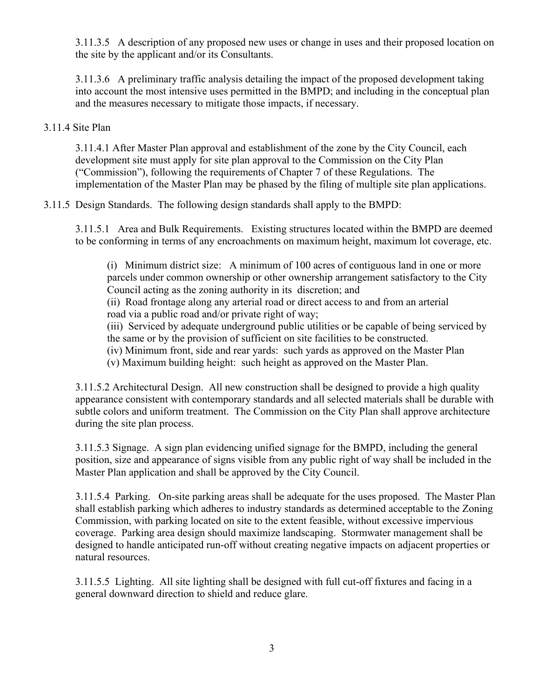3.11.3.5 A description of any proposed new uses or change in uses and their proposed location on the site by the applicant and/or its Consultants.

3.11.3.6 A preliminary traffic analysis detailing the impact of the proposed development taking into account the most intensive uses permitted in the BMPD; and including in the conceptual plan and the measures necessary to mitigate those impacts, if necessary.

#### 3.11.4 Site Plan

3.11.4.1 After Master Plan approval and establishment of the zone by the City Council, each development site must apply for site plan approval to the Commission on the City Plan ("Commission"), following the requirements of Chapter 7 of these Regulations. The implementation of the Master Plan may be phased by the filing of multiple site plan applications.

3.11.5 Design Standards. The following design standards shall apply to the BMPD:

3.11.5.1 Area and Bulk Requirements. Existing structures located within the BMPD are deemed to be conforming in terms of any encroachments on maximum height, maximum lot coverage, etc.

(i) Minimum district size: A minimum of 100 acres of contiguous land in one or more parcels under common ownership or other ownership arrangement satisfactory to the City Council acting as the zoning authority in its discretion; and

 (ii) Road frontage along any arterial road or direct access to and from an arterial road via a public road and/or private right of way;

(iii) Serviced by adequate underground public utilities or be capable of being serviced by the same or by the provision of sufficient on site facilities to be constructed.

(iv) Minimum front, side and rear yards: such yards as approved on the Master Plan

(v) Maximum building height: such height as approved on the Master Plan.

3.11.5.2 Architectural Design. All new construction shall be designed to provide a high quality appearance consistent with contemporary standards and all selected materials shall be durable with subtle colors and uniform treatment. The Commission on the City Plan shall approve architecture during the site plan process.

3.11.5.3 Signage. A sign plan evidencing unified signage for the BMPD, including the general position, size and appearance of signs visible from any public right of way shall be included in the Master Plan application and shall be approved by the City Council.

3.11.5.4 Parking. On-site parking areas shall be adequate for the uses proposed. The Master Plan shall establish parking which adheres to industry standards as determined acceptable to the Zoning Commission, with parking located on site to the extent feasible, without excessive impervious coverage. Parking area design should maximize landscaping. Stormwater management shall be designed to handle anticipated run-off without creating negative impacts on adjacent properties or natural resources.

3.11.5.5 Lighting. All site lighting shall be designed with full cut-off fixtures and facing in a general downward direction to shield and reduce glare.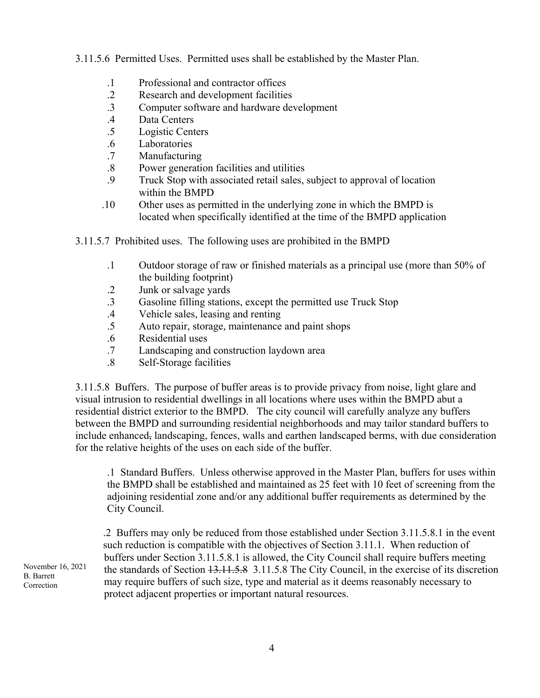3.11.5.6 Permitted Uses. Permitted uses shall be established by the Master Plan.

- .1 Professional and contractor offices
- .2 Research and development facilities
- .3 Computer software and hardware development
- .4 Data Centers
- .5 Logistic Centers
- .6 Laboratories
- .7 Manufacturing
- .8 Power generation facilities and utilities
- .9 Truck Stop with associated retail sales, subject to approval of location within the BMPD
- .10 Other uses as permitted in the underlying zone in which the BMPD is located when specifically identified at the time of the BMPD application
- 3.11.5.7 Prohibited uses. The following uses are prohibited in the BMPD
	- .1 Outdoor storage of raw or finished materials as a principal use (more than 50% of the building footprint)
	- .2 Junk or salvage yards
	- .3 Gasoline filling stations, except the permitted use Truck Stop
	- .4 Vehicle sales, leasing and renting
	- .5 Auto repair, storage, maintenance and paint shops
	- .6 Residential uses
	- .7 Landscaping and construction laydown area
	- .8 Self-Storage facilities

3.11.5.8 Buffers. The purpose of buffer areas is to provide privacy from noise, light glare and visual intrusion to residential dwellings in all locations where uses within the BMPD abut a residential district exterior to the BMPD. The city council will carefully analyze any buffers between the BMPD and surrounding residential neighborhoods and may tailor standard buffers to include enhanced, landscaping, fences, walls and earthen landscaped berms, with due consideration for the relative heights of the uses on each side of the buffer.

.1 Standard Buffers. Unless otherwise approved in the Master Plan, buffers for uses within the BMPD shall be established and maintained as 25 feet with 10 feet of screening from the adjoining residential zone and/or any additional buffer requirements as determined by the City Council.

.2 Buffers may only be reduced from those established under Section 3.11.5.8.1 in the event such reduction is compatible with the objectives of Section 3.11.1. When reduction of buffers under Section 3.11.5.8.1 is allowed, the City Council shall require buffers meeting the standards of Section 13.11.5.8 3.11.5.8 The City Council, in the exercise of its discretion may require buffers of such size, type and material as it deems reasonably necessary to protect adjacent properties or important natural resources.

November 16, 2021 B. Barrett **Correction**